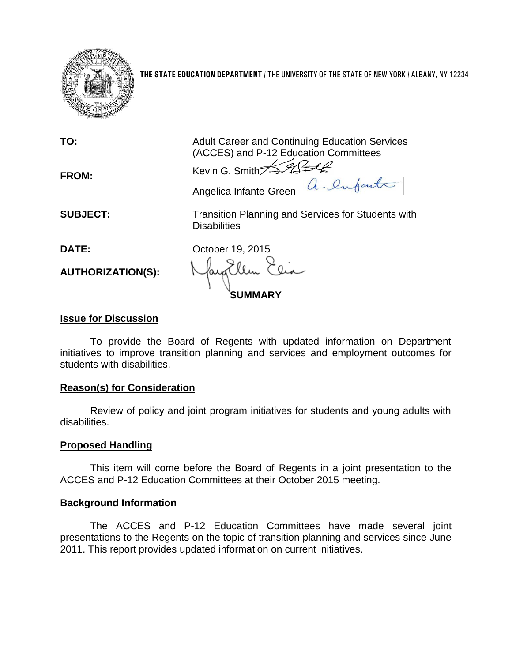

**THE STATE EDUCATION DEPARTMENT** / THE UNIVERSITY OF THE STATE OF NEW YORK / ALBANY, NY 12234

| TO:                               | <b>Adult Career and Continuing Education Services</b><br>(ACCES) and P-12 Education Committees |
|-----------------------------------|------------------------------------------------------------------------------------------------|
| <b>FROM:</b>                      | Kevin G. Smith $\cancel{\preceq}$<br>Angelica Infante-Green a. Infanta                         |
| <b>SUBJECT:</b>                   | Transition Planning and Services for Students with<br><b>Disabilities</b>                      |
| DATE:<br><b>AUTHORIZATION(S):</b> | October 19, 2015                                                                               |

### **Issue for Discussion**

To provide the Board of Regents with updated information on Department initiatives to improve transition planning and services and employment outcomes for students with disabilities.

## **Reason(s) for Consideration**

Review of policy and joint program initiatives for students and young adults with disabilities.

### **Proposed Handling**

This item will come before the Board of Regents in a joint presentation to the ACCES and P-12 Education Committees at their October 2015 meeting.

### **Background Information**

The ACCES and P-12 Education Committees have made several joint presentations to the Regents on the topic of transition planning and services since June 2011. This report provides updated information on current initiatives.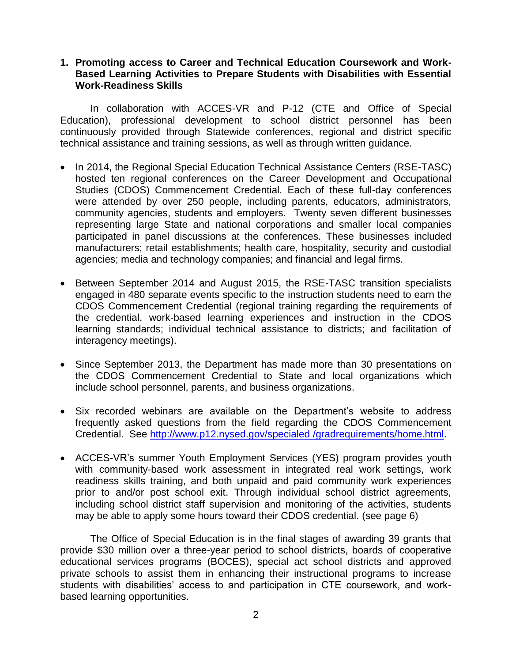## **1. Promoting access to Career and Technical Education Coursework and Work-Based Learning Activities to Prepare Students with Disabilities with Essential Work-Readiness Skills**

In collaboration with ACCES-VR and P-12 (CTE and Office of Special Education), professional development to school district personnel has been continuously provided through Statewide conferences, regional and district specific technical assistance and training sessions, as well as through written guidance.

- In 2014, the Regional Special Education Technical Assistance Centers (RSE-TASC) hosted ten regional conferences on the Career Development and Occupational Studies (CDOS) Commencement Credential. Each of these full-day conferences were attended by over 250 people, including parents, educators, administrators, community agencies, students and employers. Twenty seven different businesses representing large State and national corporations and smaller local companies participated in panel discussions at the conferences. These businesses included manufacturers; retail establishments; health care, hospitality, security and custodial agencies; media and technology companies; and financial and legal firms.
- Between September 2014 and August 2015, the RSE-TASC transition specialists engaged in 480 separate events specific to the instruction students need to earn the CDOS Commencement Credential (regional training regarding the requirements of the credential, work-based learning experiences and instruction in the CDOS learning standards; individual technical assistance to districts; and facilitation of interagency meetings).
- Since September 2013, the Department has made more than 30 presentations on the CDOS Commencement Credential to State and local organizations which include school personnel, parents, and business organizations.
- Six recorded webinars are available on the Department's website to address frequently asked questions from the field regarding the CDOS Commencement Credential. See [http://www.p12.nysed.gov/specialed](http://www.p12.nysed.gov/specialed%20/gradrequirements/home.html) /gradrequirements/home.html.
- ACCES-VR's summer Youth Employment Services (YES) program provides youth with community-based work assessment in integrated real work settings, work readiness skills training, and both unpaid and paid community work experiences prior to and/or post school exit. Through individual school district agreements, including school district staff supervision and monitoring of the activities, students may be able to apply some hours toward their CDOS credential. (see page 6)

The Office of Special Education is in the final stages of awarding 39 grants that provide \$30 million over a three-year period to school districts, boards of cooperative educational services programs (BOCES), special act school districts and approved private schools to assist them in enhancing their instructional programs to increase students with disabilities' access to and participation in CTE coursework, and workbased learning opportunities.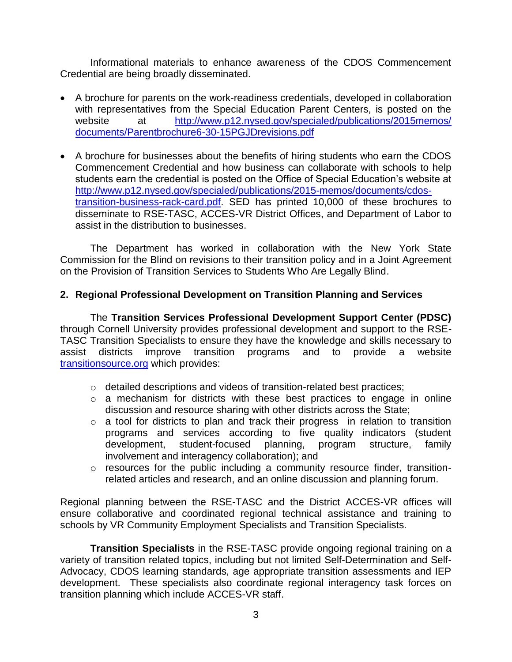Informational materials to enhance awareness of the CDOS Commencement Credential are being broadly disseminated.

- A brochure for parents on the work-readiness credentials, developed in collaboration with representatives from the Special Education Parent Centers, is posted on the website at [http://www.p12.nysed.gov/specialed/publications/2015memos/](http://www.p12.nysed.gov/specialed/publications/2015memos/%20documents/Parentbrochure6-30-15PGJDrevisions.pdf)  [documents/Parentbrochure6-30-15PGJDrevisions.pdf](http://www.p12.nysed.gov/specialed/publications/2015memos/%20documents/Parentbrochure6-30-15PGJDrevisions.pdf)
- A brochure for businesses about the benefits of hiring students who earn the CDOS Commencement Credential and how business can collaborate with schools to help students earn the credential is posted on the Office of Special Education's website at [http://www.p12.nysed.gov/specialed/publications/2015-memos/documents/cdos](http://www.p12.nysed.gov/specialed/publications/2015-memos/documents/cdos-transition-business-rack-card.pdf)[transition-business-rack-card.pdf.](http://www.p12.nysed.gov/specialed/publications/2015-memos/documents/cdos-transition-business-rack-card.pdf) SED has printed 10,000 of these brochures to disseminate to RSE-TASC, ACCES-VR District Offices, and Department of Labor to assist in the distribution to businesses.

The Department has worked in collaboration with the New York State Commission for the Blind on revisions to their transition policy and in a Joint Agreement on the Provision of Transition Services to Students Who Are Legally Blind.

## **2. Regional Professional Development on Transition Planning and Services**

The **Transition Services Professional Development Support Center (PDSC)** through Cornell University provides professional development and support to the RSE-TASC Transition Specialists to ensure they have the knowledge and skills necessary to assist districts improve transition programs and to provide a website transitionsource.org which provides:

- o detailed descriptions and videos of transition-related best practices;
- o a mechanism for districts with these best practices to engage in online discussion and resource sharing with other districts across the State;
- o a tool for districts to plan and track their progress in relation to transition programs and services according to five quality indicators (student development, student-focused planning, program structure, family involvement and interagency collaboration); and
- o resources for the public including a community resource finder, transitionrelated articles and research, and an online discussion and planning forum.

Regional planning between the RSE-TASC and the District ACCES-VR offices will ensure collaborative and coordinated regional technical assistance and training to schools by VR Community Employment Specialists and Transition Specialists.

**Transition Specialists** in the RSE-TASC provide ongoing regional training on a variety of transition related topics, including but not limited Self-Determination and Self-Advocacy, CDOS learning standards, age appropriate transition assessments and IEP development. These specialists also coordinate regional interagency task forces on transition planning which include ACCES-VR staff.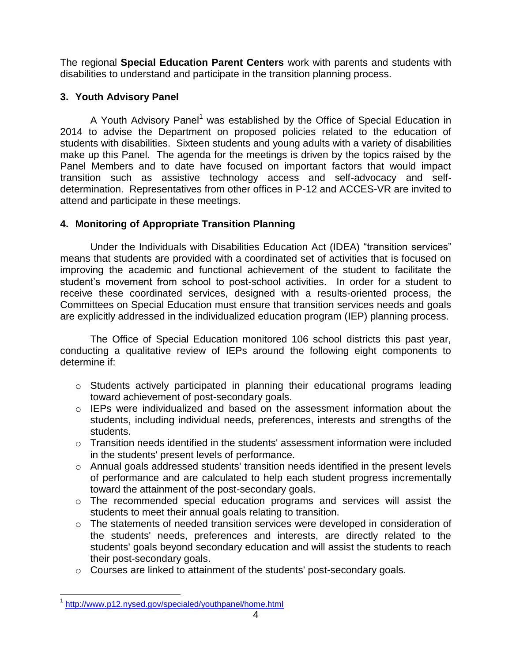The regional **Special Education Parent Centers** work with parents and students with disabilities to understand and participate in the transition planning process.

## **3. Youth Advisory Panel**

A Youth Advisory Panel<sup>1</sup> was established by the Office of Special Education in 2014 to advise the Department on proposed policies related to the education of students with disabilities. Sixteen students and young adults with a variety of disabilities make up this Panel. The agenda for the meetings is driven by the topics raised by the Panel Members and to date have focused on important factors that would impact transition such as assistive technology access and self-advocacy and selfdetermination. Representatives from other offices in P-12 and ACCES-VR are invited to attend and participate in these meetings.

# **4. Monitoring of Appropriate Transition Planning**

Under the Individuals with Disabilities Education Act (IDEA) "transition services" means that students are provided with a coordinated set of activities that is focused on improving the academic and functional achievement of the student to facilitate the student's movement from school to post-school activities. In order for a student to receive these coordinated services, designed with a results-oriented process, the Committees on Special Education must ensure that transition services needs and goals are explicitly addressed in the individualized education program (IEP) planning process.

The Office of Special Education monitored 106 school districts this past year, conducting a qualitative review of IEPs around the following eight components to determine if:

- o Students actively participated in planning their educational programs leading toward achievement of post-secondary goals.
- $\circ$  IEPs were individualized and based on the assessment information about the students, including individual needs, preferences, interests and strengths of the students.
- $\circ$  Transition needs identified in the students' assessment information were included in the students' present levels of performance.
- o Annual goals addressed students' transition needs identified in the present levels of performance and are calculated to help each student progress incrementally toward the attainment of the post-secondary goals.
- o The recommended special education programs and services will assist the students to meet their annual goals relating to transition.
- o The statements of needed transition services were developed in consideration of the students' needs, preferences and interests, are directly related to the students' goals beyond secondary education and will assist the students to reach their post-secondary goals.
- o Courses are linked to attainment of the students' post-secondary goals.

 1 <http://www.p12.nysed.gov/specialed/youthpanel/home.html>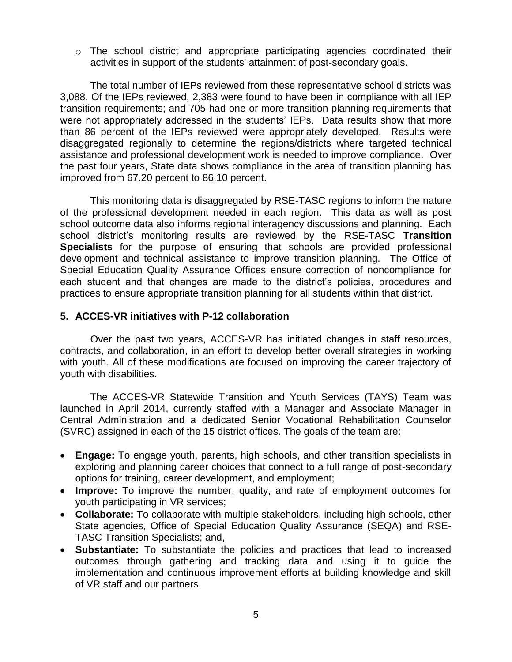o The school district and appropriate participating agencies coordinated their activities in support of the students' attainment of post-secondary goals.

The total number of IEPs reviewed from these representative school districts was 3,088. Of the IEPs reviewed, 2,383 were found to have been in compliance with all IEP transition requirements; and 705 had one or more transition planning requirements that were not appropriately addressed in the students' IEPs. Data results show that more than 86 percent of the IEPs reviewed were appropriately developed. Results were disaggregated regionally to determine the regions/districts where targeted technical assistance and professional development work is needed to improve compliance. Over the past four years, State data shows compliance in the area of transition planning has improved from 67.20 percent to 86.10 percent.

This monitoring data is disaggregated by RSE-TASC regions to inform the nature of the professional development needed in each region. This data as well as post school outcome data also informs regional interagency discussions and planning. Each school district's monitoring results are reviewed by the RSE-TASC **Transition Specialists** for the purpose of ensuring that schools are provided professional development and technical assistance to improve transition planning. The Office of Special Education Quality Assurance Offices ensure correction of noncompliance for each student and that changes are made to the district's policies, procedures and practices to ensure appropriate transition planning for all students within that district.

## **5. ACCES-VR initiatives with P-12 collaboration**

Over the past two years, ACCES-VR has initiated changes in staff resources, contracts, and collaboration, in an effort to develop better overall strategies in working with youth. All of these modifications are focused on improving the career trajectory of youth with disabilities.

The ACCES-VR Statewide Transition and Youth Services (TAYS) Team was launched in April 2014, currently staffed with a Manager and Associate Manager in Central Administration and a dedicated Senior Vocational Rehabilitation Counselor (SVRC) assigned in each of the 15 district offices. The goals of the team are:

- **Engage:** To engage youth, parents, high schools, and other transition specialists in exploring and planning career choices that connect to a full range of post-secondary options for training, career development, and employment;
- **Improve:** To improve the number, quality, and rate of employment outcomes for youth participating in VR services;
- **Collaborate:** To collaborate with multiple stakeholders, including high schools, other State agencies, Office of Special Education Quality Assurance (SEQA) and RSE-TASC Transition Specialists; and,
- **Substantiate:** To substantiate the policies and practices that lead to increased outcomes through gathering and tracking data and using it to guide the implementation and continuous improvement efforts at building knowledge and skill of VR staff and our partners.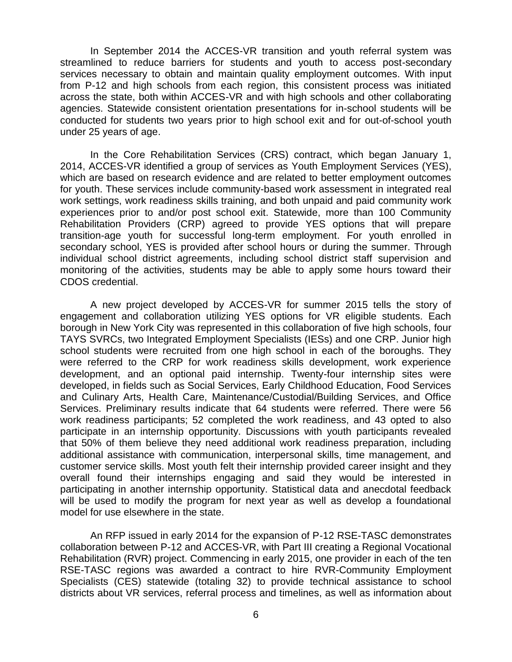In September 2014 the ACCES-VR transition and youth referral system was streamlined to reduce barriers for students and youth to access post-secondary services necessary to obtain and maintain quality employment outcomes. With input from P-12 and high schools from each region, this consistent process was initiated across the state, both within ACCES-VR and with high schools and other collaborating agencies. Statewide consistent orientation presentations for in-school students will be conducted for students two years prior to high school exit and for out-of-school youth under 25 years of age.

 In the Core Rehabilitation Services (CRS) contract, which began January 1, 2014, ACCES-VR identified a group of services as Youth Employment Services (YES), which are based on research evidence and are related to better employment outcomes for youth. These services include community-based work assessment in integrated real work settings, work readiness skills training, and both unpaid and paid community work experiences prior to and/or post school exit. Statewide, more than 100 Community Rehabilitation Providers (CRP) agreed to provide YES options that will prepare transition-age youth for successful long-term employment. For youth enrolled in secondary school, YES is provided after school hours or during the summer. Through individual school district agreements, including school district staff supervision and monitoring of the activities, students may be able to apply some hours toward their CDOS credential.

 A new project developed by ACCES-VR for summer 2015 tells the story of engagement and collaboration utilizing YES options for VR eligible students. Each borough in New York City was represented in this collaboration of five high schools, four TAYS SVRCs, two Integrated Employment Specialists (IESs) and one CRP. Junior high school students were recruited from one high school in each of the boroughs. They were referred to the CRP for work readiness skills development, work experience development, and an optional paid internship. Twenty-four internship sites were developed, in fields such as Social Services, Early Childhood Education, Food Services and Culinary Arts, Health Care, Maintenance/Custodial/Building Services, and Office Services. Preliminary results indicate that 64 students were referred. There were 56 work readiness participants; 52 completed the work readiness, and 43 opted to also participate in an internship opportunity. Discussions with youth participants revealed that 50% of them believe they need additional work readiness preparation, including additional assistance with communication, interpersonal skills, time management, and customer service skills. Most youth felt their internship provided career insight and they overall found their internships engaging and said they would be interested in participating in another internship opportunity. Statistical data and anecdotal feedback will be used to modify the program for next year as well as develop a foundational model for use elsewhere in the state.

An RFP issued in early 2014 for the expansion of P-12 RSE-TASC demonstrates collaboration between P-12 and ACCES-VR, with Part III creating a Regional Vocational Rehabilitation (RVR) project. Commencing in early 2015, one provider in each of the ten RSE-TASC regions was awarded a contract to hire RVR-Community Employment Specialists (CES) statewide (totaling 32) to provide technical assistance to school districts about VR services, referral process and timelines, as well as information about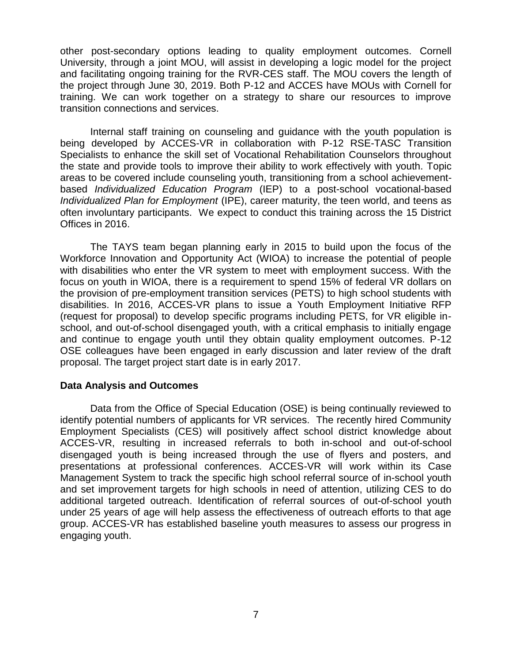other post-secondary options leading to quality employment outcomes. Cornell University, through a joint MOU, will assist in developing a logic model for the project and facilitating ongoing training for the RVR-CES staff. The MOU covers the length of the project through June 30, 2019. Both P-12 and ACCES have MOUs with Cornell for training. We can work together on a strategy to share our resources to improve transition connections and services.

Internal staff training on counseling and guidance with the youth population is being developed by ACCES-VR in collaboration with P-12 RSE-TASC Transition Specialists to enhance the skill set of Vocational Rehabilitation Counselors throughout the state and provide tools to improve their ability to work effectively with youth. Topic areas to be covered include counseling youth, transitioning from a school achievementbased *Individualized Education Program* (IEP) to a post-school vocational-based *Individualized Plan for Employment* (IPE), career maturity, the teen world, and teens as often involuntary participants. We expect to conduct this training across the 15 District Offices in 2016.

The TAYS team began planning early in 2015 to build upon the focus of the Workforce Innovation and Opportunity Act (WIOA) to increase the potential of people with disabilities who enter the VR system to meet with employment success. With the focus on youth in WIOA, there is a requirement to spend 15% of federal VR dollars on the provision of pre-employment transition services (PETS) to high school students with disabilities. In 2016, ACCES-VR plans to issue a Youth Employment Initiative RFP (request for proposal) to develop specific programs including PETS, for VR eligible inschool, and out-of-school disengaged youth, with a critical emphasis to initially engage and continue to engage youth until they obtain quality employment outcomes. P-12 OSE colleagues have been engaged in early discussion and later review of the draft proposal. The target project start date is in early 2017.

### **Data Analysis and Outcomes**

Data from the Office of Special Education (OSE) is being continually reviewed to identify potential numbers of applicants for VR services. The recently hired Community Employment Specialists (CES) will positively affect school district knowledge about ACCES-VR, resulting in increased referrals to both in-school and out-of-school disengaged youth is being increased through the use of flyers and posters, and presentations at professional conferences. ACCES-VR will work within its Case Management System to track the specific high school referral source of in-school youth and set improvement targets for high schools in need of attention, utilizing CES to do additional targeted outreach. Identification of referral sources of out-of-school youth under 25 years of age will help assess the effectiveness of outreach efforts to that age group. ACCES-VR has established baseline youth measures to assess our progress in engaging youth.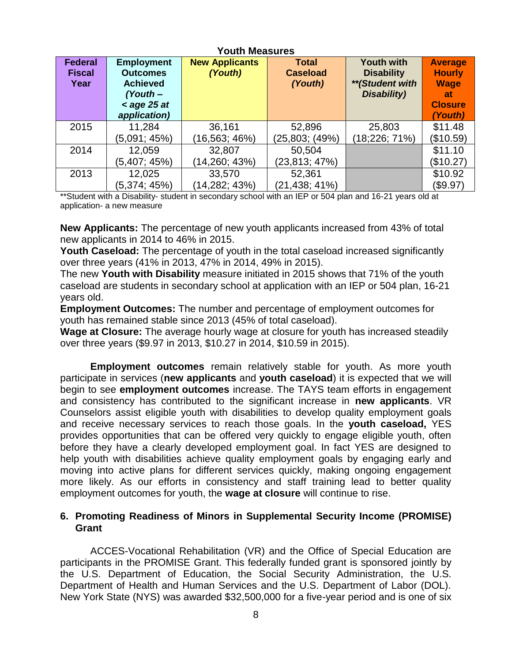| <b>Youth Measures</b>           |                                                    |                                  |                                 |                                        |                                            |  |
|---------------------------------|----------------------------------------------------|----------------------------------|---------------------------------|----------------------------------------|--------------------------------------------|--|
| <b>Federal</b><br><b>Fiscal</b> | <b>Employment</b><br><b>Outcomes</b>               | <b>New Applicants</b><br>(Youth) | <b>Total</b><br><b>Caseload</b> | <b>Youth with</b><br><b>Disability</b> | <b>Average</b><br><b>Hourly</b>            |  |
| Year                            | <b>Achieved</b><br>$(Your h -$<br>$\leq$ age 25 at |                                  | (Youth)                         | ** (Student with<br>Disability)        | <b>Wage</b><br><b>at</b><br><b>Closure</b> |  |
|                                 | application)                                       |                                  |                                 |                                        | (Youth)                                    |  |
| 2015                            | 11,284                                             | 36,161                           | 52,896                          | 25,803                                 | \$11.48                                    |  |
|                                 | (5,091; 45%)                                       | (16,563; 46%)                    | (25,803; (49%)                  | (18;226; 71%)                          | (\$10.59)                                  |  |
| 2014                            | 12,059                                             | 32,807                           | 50,504                          |                                        | \$11.10                                    |  |
|                                 | (5,407; 45%)                                       | (14,260; 43%)                    | (23,813; 47%)                   |                                        | (\$10.27)                                  |  |
| 2013                            | 12,025                                             | 33,570                           | 52,361                          |                                        | \$10.92                                    |  |
|                                 | (5,374; 45%)                                       | (14,282; 43%)                    | (21,438; 41%)                   |                                        | (\$9.97)                                   |  |

\*\*Student with a Disability- student in secondary school with an IEP or 504 plan and 16-21 years old at application- a new measure

**New Applicants:** The percentage of new youth applicants increased from 43% of total new applicants in 2014 to 46% in 2015.

Youth Caseload: The percentage of youth in the total caseload increased significantly over three years (41% in 2013, 47% in 2014, 49% in 2015).

The new **Youth with Disability** measure initiated in 2015 shows that 71% of the youth caseload are students in secondary school at application with an IEP or 504 plan, 16-21 years old.

**Employment Outcomes:** The number and percentage of employment outcomes for youth has remained stable since 2013 (45% of total caseload).

**Wage at Closure:** The average hourly wage at closure for youth has increased steadily over three years (\$9.97 in 2013, \$10.27 in 2014, \$10.59 in 2015).

**Employment outcomes** remain relatively stable for youth. As more youth participate in services (**new applicants** and **youth caseload**) it is expected that we will begin to see **employment outcomes** increase. The TAYS team efforts in engagement and consistency has contributed to the significant increase in **new applicants**. VR Counselors assist eligible youth with disabilities to develop quality employment goals and receive necessary services to reach those goals. In the **youth caseload,** YES provides opportunities that can be offered very quickly to engage eligible youth, often before they have a clearly developed employment goal. In fact YES are designed to help youth with disabilities achieve quality employment goals by engaging early and moving into active plans for different services quickly, making ongoing engagement more likely. As our efforts in consistency and staff training lead to better quality employment outcomes for youth, the **wage at closure** will continue to rise.

## **6. Promoting Readiness of Minors in Supplemental Security Income (PROMISE) Grant**

ACCES-Vocational Rehabilitation (VR) and the Office of Special Education are participants in the PROMISE Grant. This federally funded grant is sponsored jointly by the U.S. Department of Education, the Social Security Administration, the U.S. Department of Health and Human Services and the U.S. Department of Labor (DOL). New York State (NYS) was awarded \$32,500,000 for a five-year period and is one of six